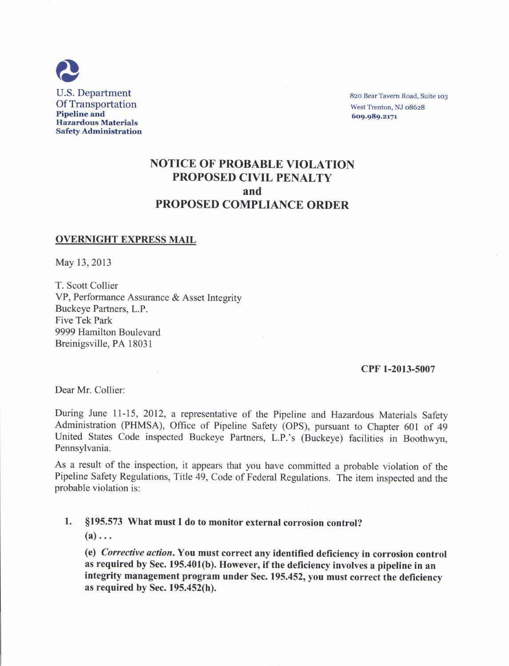

820 Bear Tavern Road, Suite 103 West Trenton. NJ o8628 6o9.989,zr7r

# NOTICE OF PROBABLE VIOLATION PROPOSED CIVIL PENALTY and PROPOSED COMPLIANCE ORDER

#### OVERNIGHT EXPRESS MAIL

May 13,2013

T. Scott Collier VP, Performance Assurance & Asset Integrity Buckeye Partners, L.P. Five Tek Park 9999 Hamilton Boulevard Breinigsville, PA 18031

#### cPF 1-2013-5007

Dear Mr. Collier:

During June 1I-I5, 2012, a representative of the Pipeline and Hazardous Materials Safety Administration (PHMSA), Office of Pipeline Safety (OPS), pursuant to Chapter 601 of <sup>49</sup> United States Code inspected Buckeye Partners, L.P.'s (Buckeye) facilities in Boothwyn, Pennsylvania.

As a result of the inspection, it appears that you have committed a probable violation of the Pipeline Safety Regulations, Title 49, Code of Federal Regulations. The item inspected and the probable violation is:

### 1. \$195.573 What must I do to monitor external corrosion control?

 $(a) \ldots$ 

(e) Corrective action. You must correct any identified deficiency in corrosion control as required by Sec. 195.401(b). However, if the deficiency involves a pipeline in an integrity management program under Sec. 195.452, you must correct the deficiency as required by Sec. 195.452(h).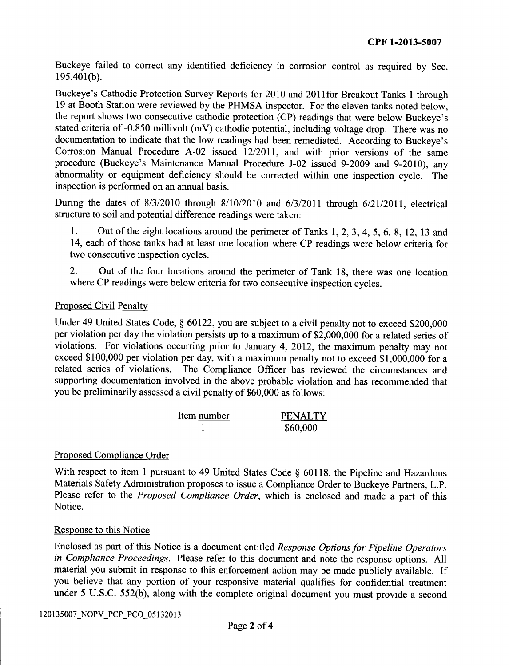Buckeye failed to correct any identified deficiency in corrosion control as required by Sec.  $195.401(b)$ .

Buckeye's Cathodic Protection Survey Reports for 2010 and,20l1for Breakout Tanks 1 through 19 at Booth Station were reviewed by the PHMSA inspector. For the eleven tanks noted below, the report shows two consecutive cathodic protection (CP) readings that were below Buckeye's stated criteria of -0.850 millivolt (mV) cathodic potential, including voltage drop. There was no documentation to indicate that the low readings had been remediated. According to Buckeye's Corrosion Manual Procedure A-02 issued 12/2011, and with prior versions of the same procedure (Buckeye's Maintenance Manual Procedure J-02 issued 9-2009 and 9-2010), any abnormality or equipment deficiency should be corrected within one inspection cycle. The inspection is performed on an annual basis.

During the dates of  $8/3/2010$  through  $8/10/2010$  and  $6/3/2011$  through  $6/21/2011$ , electrical structure to soil and potential difference readings were taken:

1. Out of the eight locations around the perimeter of Tanks I, 2, 3, 4, 5, 6, 8, 12, 13 and 14, each of those tanks had at least one location where CP readings were below criteria for two consecutive inspection cycles.

2. Out of the four locations around the perimeter of Tank 18, there was one location where CP readings were below criteria for two consecutive inspection cycles.

# Proposed Civil Penalty

Under 49 United States Code, § 60122, you are subject to a civil penalty not to exceed \$200,000 per violation per day the violation persists up to a maximum of \$2,000,000 for a related series of violations. For violations occurring prior to January 4, 2012, the maximum penalty may not exceed \$100,000 per violation per day, with a maximum penalty not to exceed \$1,000,000 for <sup>a</sup> related series of violations. The Compliance Officer has reviewed the circumstances and supporting documentation involved in the above probable violation and has recornmended that you be preliminarily assessed a civil penalty of \$60,000 as follows:

| Item number | <b>PENALTY</b> |
|-------------|----------------|
|             | \$60,000       |

# Proposed Compliance Order

With respect to item 1 pursuant to 49 United States Code § 60118, the Pipeline and Hazardous Materials Safety Administration proposes to issue a Compliance Order to Buckeye Partners, L.P. Please refer to the Proposed Compliance Order, which is enclosed and made a part of this Notice.

#### Response to this Notice

Enclosed as part of this Notice is a document entitled Response Options for Pipeline Operators in Compliance Proceedings. Please refer to this document and note the response options. All material you submit in response to this enforcement action may be made publicly available. If you believe that any portion of your responsive material qualifies for confidential treatment under 5 U.S.C. 552(b), along with the complete original document you must provide a second